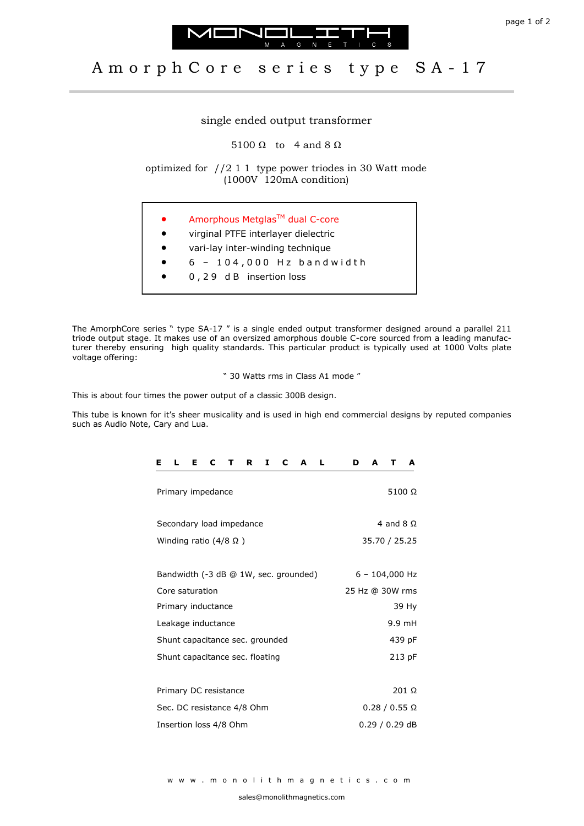



## Amorph Core series type SA-17

## single ended output transformer

5100  $\Omega$  to 4 and 8  $\Omega$ 

optimized for //2 1 1 type power triodes in 30 Watt mode (1000V 120mA condition)

- Amorphous Metglas<sup>™</sup> dual C-core
- virginal PTFE interlayer dielectric
- vari-lay inter-winding technique
- $6 104,000$  Hz bandwidth
- 0 , 2 9 d B insertion loss

The AmorphCore series " type SA-17 " is a single ended output transformer designed around a parallel 211 triode output stage. It makes use of an oversized amorphous double C-core sourced from a leading manufacturer thereby ensuring high quality standards. This particular product is typically used at 1000 Volts plate voltage offering:

" 30 Watts rms in Class A1 mode "

This is about four times the power output of a classic 300B design.

This tube is known for it's sheer musicality and is used in high end commercial designs by reputed companies such as Audio Note, Cary and Lua.

| C<br>L.<br>Е<br>C<br>R<br>1<br>L<br>Е<br>$\mathbf{T}$<br>A | A<br>A<br>D<br>т     |
|------------------------------------------------------------|----------------------|
| Primary impedance                                          | $5100 \Omega$        |
| Secondary load impedance                                   | 4 and 8 $\Omega$     |
| Winding ratio $(4/8 \Omega)$                               | 35.70 / 25.25        |
|                                                            |                      |
| Bandwidth (-3 dB @ 1W, sec. grounded)                      | $6 - 104,000$ Hz     |
| Core saturation                                            | 25 Hz @ 30W rms      |
| Primary inductance                                         | 39 Hy                |
| Leakage inductance                                         | 9.9 mH               |
| Shunt capacitance sec. grounded                            | 439 pF               |
| Shunt capacitance sec. floating                            | 213 pF               |
|                                                            |                      |
| Primary DC resistance                                      | 201 Ω                |
| Sec. DC resistance 4/8 Ohm                                 | $0.28 / 0.55 \Omega$ |
| Insertion loss 4/8 Ohm                                     | $0.29/0.29$ dB       |